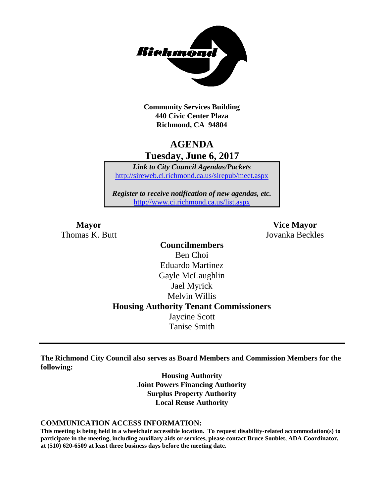

**Community Services Building 440 Civic Center Plaza Richmond, CA 94804**

# **AGENDA Tuesday, June 6, 2017**

*Link to City Council Agendas/Packets* <http://sireweb.ci.richmond.ca.us/sirepub/meet.aspx>

*Register to receive notification of new agendas, etc.* <http://www.ci.richmond.ca.us/list.aspx>

**Mayor Vice Mayor** Thomas K. Butt Jovanka Beckles

> **Councilmembers** Ben Choi Eduardo Martinez Gayle McLaughlin Jael Myrick Melvin Willis **Housing Authority Tenant Commissioners** Jaycine Scott Tanise Smith

**The Richmond City Council also serves as Board Members and Commission Members for the following:**

> **Housing Authority Joint Powers Financing Authority Surplus Property Authority Local Reuse Authority**

#### **COMMUNICATION ACCESS INFORMATION:**

**This meeting is being held in a wheelchair accessible location. To request disability-related accommodation(s) to participate in the meeting, including auxiliary aids or services, please contact Bruce Soublet, ADA Coordinator, at (510) 620-6509 at least three business days before the meeting date.**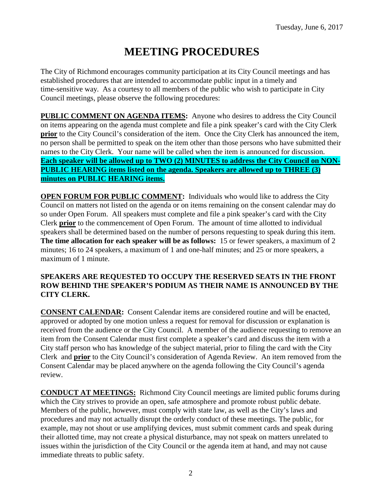# **MEETING PROCEDURES**

The City of Richmond encourages community participation at its City Council meetings and has established procedures that are intended to accommodate public input in a timely and time-sensitive way. As a courtesy to all members of the public who wish to participate in City Council meetings, please observe the following procedures:

**PUBLIC COMMENT ON AGENDA ITEMS:** Anyone who desires to address the City Council on items appearing on the agenda must complete and file a pink speaker's card with the City Clerk **prior** to the City Council's consideration of the item. Once the City Clerk has announced the item, no person shall be permitted to speak on the item other than those persons who have submitted their names to the City Clerk. Your name will be called when the item is announced for discussion. **Each speaker will be allowed up to TWO (2) MINUTES to address the City Council on NON-PUBLIC HEARING items listed on the agenda. Speakers are allowed up to THREE (3) minutes on PUBLIC HEARING items.**

**OPEN FORUM FOR PUBLIC COMMENT:** Individuals who would like to address the City Council on matters not listed on the agenda or on items remaining on the consent calendar may do so under Open Forum. All speakers must complete and file a pink speaker's card with the City Clerk **prior** to the commencement of Open Forum. The amount of time allotted to individual speakers shall be determined based on the number of persons requesting to speak during this item. **The time allocation for each speaker will be as follows:** 15 or fewer speakers, a maximum of 2 minutes; 16 to 24 speakers, a maximum of 1 and one-half minutes; and 25 or more speakers, a maximum of 1 minute.

### **SPEAKERS ARE REQUESTED TO OCCUPY THE RESERVED SEATS IN THE FRONT ROW BEHIND THE SPEAKER'S PODIUM AS THEIR NAME IS ANNOUNCED BY THE CITY CLERK.**

**CONSENT CALENDAR:** Consent Calendar items are considered routine and will be enacted, approved or adopted by one motion unless a request for removal for discussion or explanation is received from the audience or the City Council. A member of the audience requesting to remove an item from the Consent Calendar must first complete a speaker's card and discuss the item with a City staff person who has knowledge of the subject material, prior to filing the card with the City Clerk and **prior** to the City Council's consideration of Agenda Review. An item removed from the Consent Calendar may be placed anywhere on the agenda following the City Council's agenda review.

**CONDUCT AT MEETINGS:** Richmond City Council meetings are limited public forums during which the City strives to provide an open, safe atmosphere and promote robust public debate. Members of the public, however, must comply with state law, as well as the City's laws and procedures and may not actually disrupt the orderly conduct of these meetings. The public, for example, may not shout or use amplifying devices, must submit comment cards and speak during their allotted time, may not create a physical disturbance, may not speak on matters unrelated to issues within the jurisdiction of the City Council or the agenda item at hand, and may not cause immediate threats to public safety.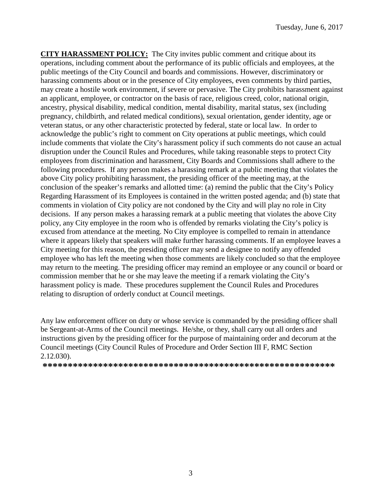**CITY HARASSMENT POLICY:** The City invites public comment and critique about its operations, including comment about the performance of its public officials and employees, at the public meetings of the City Council and boards and commissions. However, discriminatory or harassing comments about or in the presence of City employees, even comments by third parties, may create a hostile work environment, if severe or pervasive. The City prohibits harassment against an applicant, employee, or contractor on the basis of race, religious creed, color, national origin, ancestry, physical disability, medical condition, mental disability, marital status, sex (including pregnancy, childbirth, and related medical conditions), sexual orientation, gender identity, age or veteran status, or any other characteristic protected by federal, state or local law. In order to acknowledge the public's right to comment on City operations at public meetings, which could include comments that violate the City's harassment policy if such comments do not cause an actual disruption under the Council Rules and Procedures, while taking reasonable steps to protect City employees from discrimination and harassment, City Boards and Commissions shall adhere to the following procedures. If any person makes a harassing remark at a public meeting that violates the above City policy prohibiting harassment, the presiding officer of the meeting may, at the conclusion of the speaker's remarks and allotted time: (a) remind the public that the City's Policy Regarding Harassment of its Employees is contained in the written posted agenda; and (b) state that comments in violation of City policy are not condoned by the City and will play no role in City decisions. If any person makes a harassing remark at a public meeting that violates the above City policy, any City employee in the room who is offended by remarks violating the City's policy is excused from attendance at the meeting. No City employee is compelled to remain in attendance where it appears likely that speakers will make further harassing comments. If an employee leaves a City meeting for this reason, the presiding officer may send a designee to notify any offended employee who has left the meeting when those comments are likely concluded so that the employee may return to the meeting. The presiding officer may remind an employee or any council or board or commission member that he or she may leave the meeting if a remark violating the City's harassment policy is made. These procedures supplement the Council Rules and Procedures relating to disruption of orderly conduct at Council meetings.

Any law enforcement officer on duty or whose service is commanded by the presiding officer shall be Sergeant-at-Arms of the Council meetings. He/she, or they, shall carry out all orders and instructions given by the presiding officer for the purpose of maintaining order and decorum at the Council meetings (City Council Rules of Procedure and Order Section III F, RMC Section 2.12.030).

**\*\*\*\*\*\*\*\*\*\*\*\*\*\*\*\*\*\*\*\*\*\*\*\*\*\*\*\*\*\*\*\*\*\*\*\*\*\*\*\*\*\*\*\*\*\*\*\*\*\*\*\*\*\*\*\*\*\***

3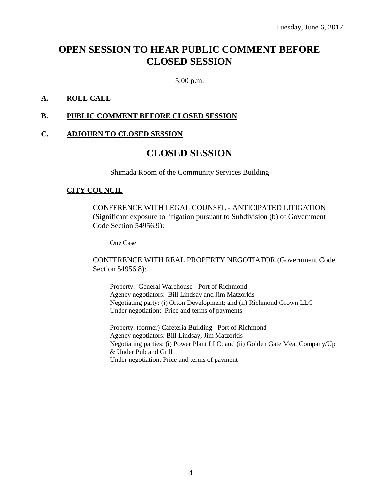# **OPEN SESSION TO HEAR PUBLIC COMMENT BEFORE CLOSED SESSION**

5:00 p.m.

### **A. ROLL CALL**

### **B. PUBLIC COMMENT BEFORE CLOSED SESSION**

### **C. ADJOURN TO CLOSED SESSION**

# **CLOSED SESSION**

Shimada Room of the Community Services Building

### **CITY COUNCIL**

CONFERENCE WITH LEGAL COUNSEL - ANTICIPATED LITIGATION (Significant exposure to litigation pursuant to Subdivision (b) of Government Code Section 54956.9):

One Case

CONFERENCE WITH REAL PROPERTY NEGOTIATOR (Government Code Section 54956.8):

Property: General Warehouse - Port of Richmond Agency negotiators: Bill Lindsay and Jim Matzorkis Negotiating party: (i) Orton Development; and (ii) Richmond Grown LLC Under negotiation: Price and terms of payments

Property: (former) Cafeteria Building - Port of Richmond Agency negotiators: Bill Lindsay, Jim Matzorkis Negotiating parties: (i) Power Plant LLC; and (ii) Golden Gate Meat Company/Up & Under Pub and Grill Under negotiation: Price and terms of payment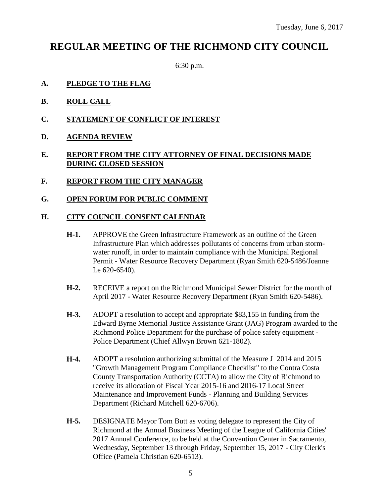# **REGULAR MEETING OF THE RICHMOND CITY COUNCIL**

6:30 p.m.

- **A. PLEDGE TO THE FLAG**
- **B. ROLL CALL**
- **C. STATEMENT OF CONFLICT OF INTEREST**
- **D. AGENDA REVIEW**

### **E. REPORT FROM THE CITY ATTORNEY OF FINAL DECISIONS MADE DURING CLOSED SESSION**

- **F. REPORT FROM THE CITY MANAGER**
- **G. OPEN FORUM FOR PUBLIC COMMENT**

### **H. CITY COUNCIL CONSENT CALENDAR**

- **H-1.** APPROVE the Green Infrastructure Framework as an outline of the Green Infrastructure Plan which addresses pollutants of concerns from urban stormwater runoff, in order to maintain compliance with the Municipal Regional Permit - Water Resource Recovery Department (Ryan Smith 620-5486/Joanne Le 620-6540).
- **H-2.** RECEIVE a report on the Richmond Municipal Sewer District for the month of April 2017 - Water Resource Recovery Department (Ryan Smith 620-5486).
- **H-3.** ADOPT a resolution to accept and appropriate \$83,155 in funding from the Edward Byrne Memorial Justice Assistance Grant (JAG) Program awarded to the Richmond Police Department for the purchase of police safety equipment - Police Department (Chief Allwyn Brown 621-1802).
- **H-4.** ADOPT a resolution authorizing submittal of the Measure J 2014 and 2015 "Growth Management Program Compliance Checklist" to the Contra Costa County Transportation Authority (CCTA) to allow the City of Richmond to receive its allocation of Fiscal Year 2015-16 and 2016-17 Local Street Maintenance and Improvement Funds - Planning and Building Services Department (Richard Mitchell 620-6706).
- **H-5.** DESIGNATE Mayor Tom Butt as voting delegate to represent the City of Richmond at the Annual Business Meeting of the League of California Cities' 2017 Annual Conference, to be held at the Convention Center in Sacramento, Wednesday, September 13 through Friday, September 15, 2017 - City Clerk's Office (Pamela Christian 620-6513).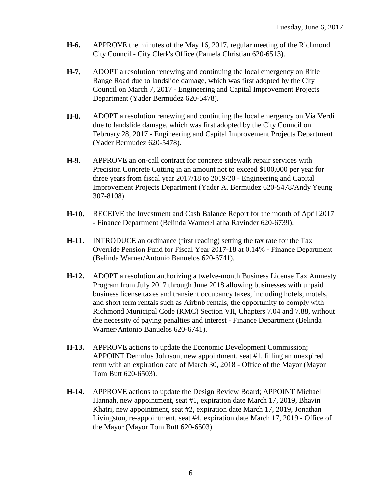- **H-6.** APPROVE the minutes of the May 16, 2017, regular meeting of the Richmond City Council - City Clerk's Office (Pamela Christian 620-6513).
- **H-7.** ADOPT a resolution renewing and continuing the local emergency on Rifle Range Road due to landslide damage, which was first adopted by the City Council on March 7, 2017 - Engineering and Capital Improvement Projects Department (Yader Bermudez 620-5478).
- **H-8.** ADOPT a resolution renewing and continuing the local emergency on Via Verdi due to landslide damage, which was first adopted by the City Council on February 28, 2017 - Engineering and Capital Improvement Projects Department (Yader Bermudez 620-5478).
- **H-9.** APPROVE an on-call contract for concrete sidewalk repair services with Precision Concrete Cutting in an amount not to exceed \$100,000 per year for three years from fiscal year 2017/18 to 2019/20 - Engineering and Capital Improvement Projects Department (Yader A. Bermudez 620-5478/Andy Yeung 307-8108).
- **H-10.** RECEIVE the Investment and Cash Balance Report for the month of April 2017 - Finance Department (Belinda Warner/Latha Ravinder 620-6739).
- **H-11.** INTRODUCE an ordinance (first reading) setting the tax rate for the Tax Override Pension Fund for Fiscal Year 2017-18 at 0.14% - Finance Department (Belinda Warner/Antonio Banuelos 620-6741).
- **H-12.** ADOPT a resolution authorizing a twelve-month Business License Tax Amnesty Program from July 2017 through June 2018 allowing businesses with unpaid business license taxes and transient occupancy taxes, including hotels, motels, and short term rentals such as Airbnb rentals, the opportunity to comply with Richmond Municipal Code (RMC) Section VII, Chapters 7.04 and 7.88, without the necessity of paying penalties and interest - Finance Department (Belinda Warner/Antonio Banuelos 620-6741).
- **H-13.** APPROVE actions to update the Economic Development Commission; APPOINT Demnlus Johnson, new appointment, seat #1, filling an unexpired term with an expiration date of March 30, 2018 - Office of the Mayor (Mayor Tom Butt 620-6503).
- **H-14.** APPROVE actions to update the Design Review Board; APPOINT Michael Hannah, new appointment, seat #1, expiration date March 17, 2019, Bhavin Khatri, new appointment, seat #2, expiration date March 17, 2019, Jonathan Livingston, re-appointment, seat #4, expiration date March 17, 2019 - Office of the Mayor (Mayor Tom Butt 620-6503).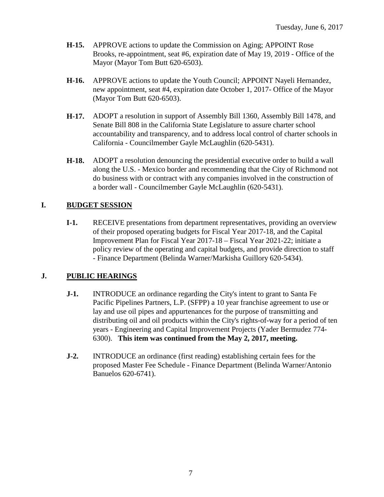- **H-15.** APPROVE actions to update the Commission on Aging; APPOINT Rose Brooks, re-appointment, seat #6, expiration date of May 19, 2019 - Office of the Mayor (Mayor Tom Butt 620-6503).
- **H-16.** APPROVE actions to update the Youth Council; APPOINT Nayeli Hernandez, new appointment, seat #4, expiration date October 1, 2017- Office of the Mayor (Mayor Tom Butt 620-6503).
- **H-17.** ADOPT a resolution in support of Assembly Bill 1360, Assembly Bill 1478, and Senate Bill 808 in the California State Legislature to assure charter school accountability and transparency, and to address local control of charter schools in California - Councilmember Gayle McLaughlin (620-5431).
- **H-18.** ADOPT a resolution denouncing the presidential executive order to build a wall along the U.S. - Mexico border and recommending that the City of Richmond not do business with or contract with any companies involved in the construction of a border wall - Councilmember Gayle McLaughlin (620-5431).

# **I. BUDGET SESSION**

**I-1.** RECEIVE presentations from department representatives, providing an overview of their proposed operating budgets for Fiscal Year 2017-18, and the Capital Improvement Plan for Fiscal Year 2017-18 – Fiscal Year 2021-22; initiate a policy review of the operating and capital budgets, and provide direction to staff - Finance Department (Belinda Warner/Markisha Guillory 620-5434).

# **J. PUBLIC HEARINGS**

- **J-1.** INTRODUCE an ordinance regarding the City's intent to grant to Santa Fe Pacific Pipelines Partners, L.P. (SFPP) a 10 year franchise agreement to use or lay and use oil pipes and appurtenances for the purpose of transmitting and distributing oil and oil products within the City's rights-of-way for a period of ten years - Engineering and Capital Improvement Projects (Yader Bermudez 774- 6300). **This item was continued from the May 2, 2017, meeting.**
- **J-2.** INTRODUCE an ordinance (first reading) establishing certain fees for the proposed Master Fee Schedule - Finance Department (Belinda Warner/Antonio Banuelos 620-6741).